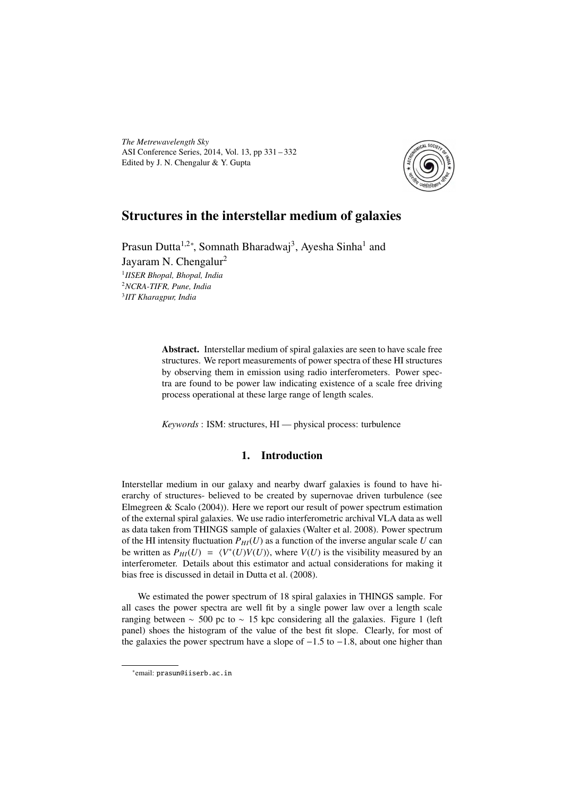*The Metrewavelength Sky* ASI Conference Series, 2014, Vol. 13, pp 331 – 332 Edited by J. N. Chengalur & Y. Gupta



# Structures in the interstellar medium of galaxies

Prasun Dutta<sup>1,2∗</sup>, Somnath Bharadwaj<sup>3</sup>, Ayesha Sinha<sup>1</sup> and Jayaram N. Chengalur<sup>2</sup> 1 *IISER Bhopal, Bhopal, India* <sup>2</sup>*NCRA-TIFR, Pune, India* 3 *IIT Kharagpur, India*

> Abstract. Interstellar medium of spiral galaxies are seen to have scale free structures. We report measurements of power spectra of these HI structures by observing them in emission using radio interferometers. Power spectra are found to be power law indicating existence of a scale free driving process operational at these large range of length scales.

*Keywords* : ISM: structures, HI — physical process: turbulence

# 1. Introduction

Interstellar medium in our galaxy and nearby dwarf galaxies is found to have hierarchy of structures- believed to be created by supernovae driven turbulence (see Elmegreen & Scalo (2004)). Here we report our result of power spectrum estimation of the external spiral galaxies. We use radio interferometric archival VLA data as well as data taken from THINGS sample of galaxies (Walter et al. 2008). Power spectrum of the HI intensity fluctuation  $P_{HI}(U)$  as a function of the inverse angular scale U can be written as  $P_{HI}(U) = \langle V^*(U)V(U) \rangle$ , where  $V(U)$  is the visibility measured by an interferometer. Details about this estimator and actual considerations for making it bias free is discussed in detail in Dutta et al. (2008).

We estimated the power spectrum of 18 spiral galaxies in THINGS sample. For all cases the power spectra are well fit by a single power law over a length scale ranging between  $\sim$  500 pc to  $\sim$  15 kpc considering all the galaxies. Figure 1 (left panel) shoes the histogram of the value of the best fit slope. Clearly, for most of the galaxies the power spectrum have a slope of −1.5 to −1.8, about one higher than

<sup>∗</sup> email: prasun@iiserb.ac.in